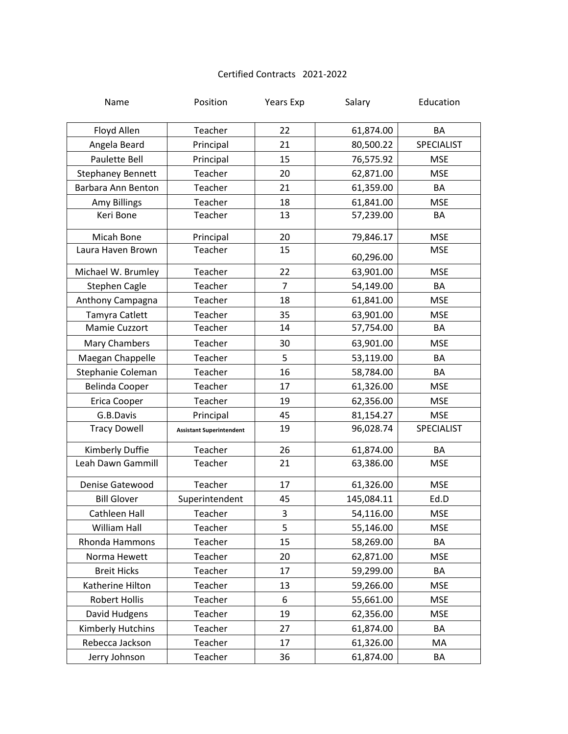## Certified Contracts 2021-2022

| Name                     | Position                        | Years Exp      | Salary     | Education         |
|--------------------------|---------------------------------|----------------|------------|-------------------|
| Floyd Allen              | Teacher                         | 22             | 61,874.00  | BA                |
| Angela Beard             | Principal                       | 21             | 80,500.22  | <b>SPECIALIST</b> |
| <b>Paulette Bell</b>     | Principal                       | 15             | 76,575.92  | <b>MSE</b>        |
| <b>Stephaney Bennett</b> | Teacher                         | 20             | 62,871.00  | <b>MSE</b>        |
| Barbara Ann Benton       | Teacher                         | 21             | 61,359.00  | BA                |
| Amy Billings             | Teacher                         | 18             | 61,841.00  | <b>MSE</b>        |
| Keri Bone                | Teacher                         | 13             | 57,239.00  | BA                |
| Micah Bone               | Principal                       | 20             | 79,846.17  | <b>MSE</b>        |
| Laura Haven Brown        | Teacher                         | 15             | 60,296.00  | <b>MSE</b>        |
| Michael W. Brumley       | Teacher                         | 22             | 63,901.00  | <b>MSE</b>        |
| Stephen Cagle            | Teacher                         | $\overline{7}$ | 54,149.00  | BA                |
| Anthony Campagna         | Teacher                         | 18             | 61,841.00  | <b>MSE</b>        |
| Tamyra Catlett           | Teacher                         | 35             | 63,901.00  | <b>MSE</b>        |
| Mamie Cuzzort            | Teacher                         | 14             | 57,754.00  | BA                |
| Mary Chambers            | Teacher                         | 30             | 63,901.00  | <b>MSE</b>        |
| Maegan Chappelle         | Teacher                         | 5              | 53,119.00  | BA                |
| Stephanie Coleman        | Teacher                         | 16             | 58,784.00  | BA                |
| Belinda Cooper           | Teacher                         | 17             | 61,326.00  | <b>MSE</b>        |
| Erica Cooper             | Teacher                         | 19             | 62,356.00  | <b>MSE</b>        |
| G.B.Davis                | Principal                       | 45             | 81,154.27  | <b>MSE</b>        |
| <b>Tracy Dowell</b>      | <b>Assistant Superintendent</b> | 19             | 96,028.74  | SPECIALIST        |
| Kimberly Duffie          | Teacher                         | 26             | 61,874.00  | BA                |
| Leah Dawn Gammill        | Teacher                         | 21             | 63,386.00  | <b>MSE</b>        |
| Denise Gatewood          | Teacher                         | 17             | 61,326.00  | <b>MSE</b>        |
| <b>Bill Glover</b>       | Superintendent                  | 45             | 145,084.11 | Ed.D              |
| Cathleen Hall            | Teacher                         | 3              | 54,116.00  | <b>MSE</b>        |
| <b>William Hall</b>      | Teacher                         | 5              | 55,146.00  | <b>MSE</b>        |
| Rhonda Hammons           | Teacher                         | 15             | 58,269.00  | BA                |
| Norma Hewett             | Teacher                         | 20             | 62,871.00  | <b>MSE</b>        |
| <b>Breit Hicks</b>       | Teacher                         | 17             | 59,299.00  | BA                |
| Katherine Hilton         | Teacher                         | 13             | 59,266.00  | <b>MSE</b>        |
| <b>Robert Hollis</b>     | Teacher                         | 6              | 55,661.00  | <b>MSE</b>        |
| David Hudgens            | Teacher                         | 19             | 62,356.00  | <b>MSE</b>        |
| Kimberly Hutchins        | Teacher                         | 27             | 61,874.00  | BA                |
| Rebecca Jackson          | Teacher                         | 17             | 61,326.00  | MA                |
| Jerry Johnson            | Teacher                         | 36             | 61,874.00  | BA                |